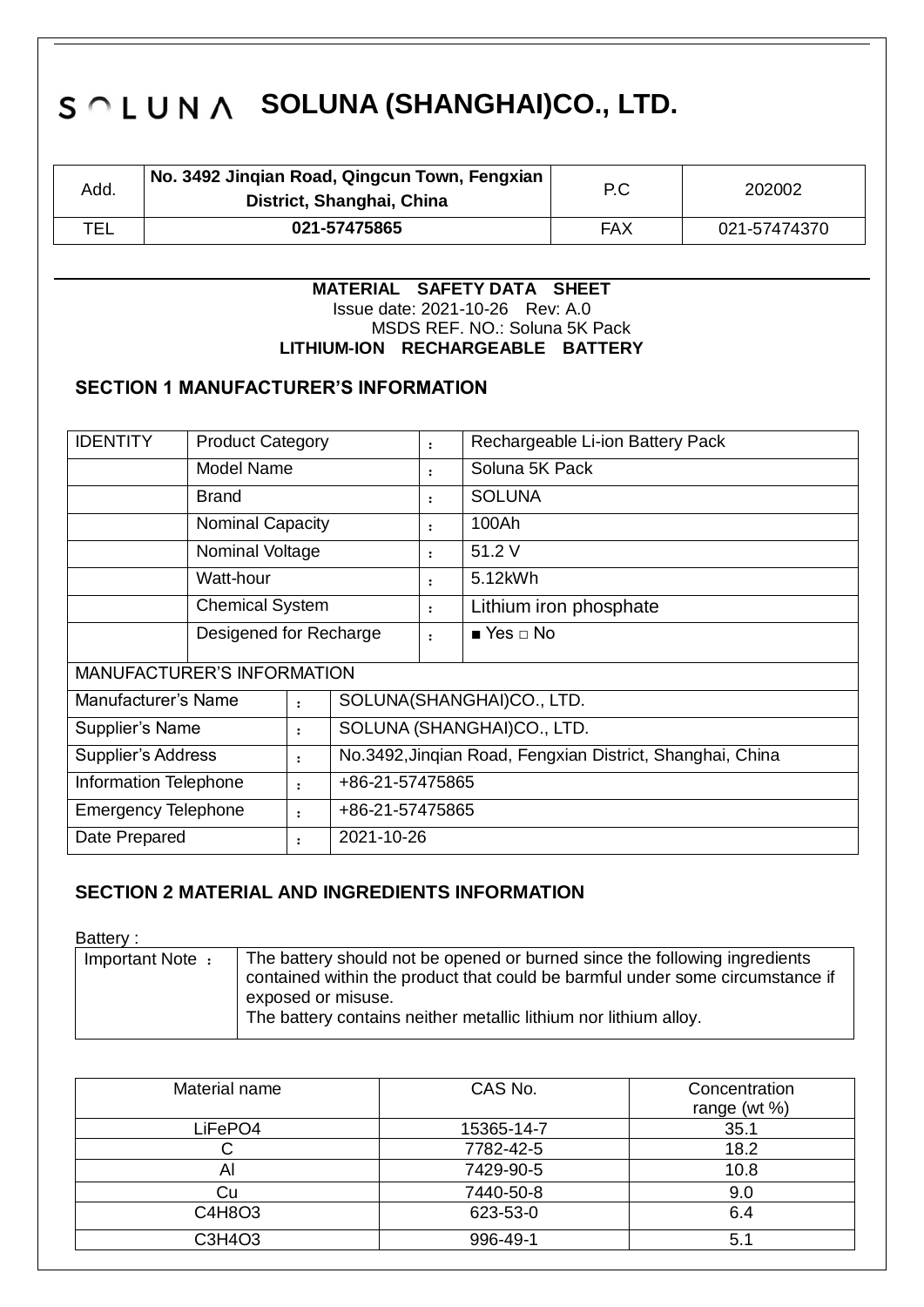| Add. | No. 3492 Jinqian Road, Qingcun Town, Fengxian<br>District, Shanghai, China | P.C | 202002       |
|------|----------------------------------------------------------------------------|-----|--------------|
| TEL  | 021-57475865                                                               | FAX | 021-57474370 |

#### **MATERIAL SAFETY DATA SHEET** Issue date: 2021-10-26 Rev: A.0 MSDS REF. NO.: Soluna 5K Pack **LITHIUM-ION RECHARGEABLE BATTERY**

### **SECTION 1 MANUFACTURER'S INFORMATION**

| <b>IDENTITY</b>                                                          | <b>Product Category</b> |                                                           | $\ddot{\cdot}$       | Rechargeable Li-ion Battery Pack |               |  |
|--------------------------------------------------------------------------|-------------------------|-----------------------------------------------------------|----------------------|----------------------------------|---------------|--|
|                                                                          | <b>Model Name</b>       |                                                           | $\ddot{\phantom{a}}$ | Soluna 5K Pack                   |               |  |
|                                                                          | <b>Brand</b>            |                                                           |                      | $\ddot{\phantom{a}}$             | <b>SOLUNA</b> |  |
|                                                                          | <b>Nominal Capacity</b> |                                                           |                      | $\ddot{\phantom{a}}$             | 100Ah         |  |
|                                                                          | Nominal Voltage         |                                                           |                      | $\ddot{\phantom{a}}$             | 51.2 V        |  |
|                                                                          | Watt-hour               |                                                           | :                    | 5.12kWh                          |               |  |
|                                                                          | <b>Chemical System</b>  |                                                           | $\ddot{\cdot}$       | Lithium iron phosphate           |               |  |
|                                                                          | Desigened for Recharge  |                                                           | $\ddot{\cdot}$       | $\blacksquare$ Yes $\Box$ No     |               |  |
| <b>MANUFACTURER'S INFORMATION</b>                                        |                         |                                                           |                      |                                  |               |  |
| Manufacturer's Name<br>SOLUNA(SHANGHAI)CO., LTD.<br>$\ddot{\phantom{a}}$ |                         |                                                           |                      |                                  |               |  |
| Supplier's Name                                                          |                         | $\ddot{\phantom{a}}$                                      |                      | SOLUNA (SHANGHAI)CO., LTD.       |               |  |
| <b>Supplier's Address</b><br>$\ddot{\phantom{a}}$                        |                         | No.3492, Jinqian Road, Fengxian District, Shanghai, China |                      |                                  |               |  |
| Information Telephone<br>+86-21-57475865<br>$\ddot{\phantom{a}}$         |                         |                                                           |                      |                                  |               |  |
| <b>Emergency Telephone</b><br>+86-21-57475865<br>$\ddot{\phantom{a}}$    |                         |                                                           |                      |                                  |               |  |
| 2021-10-26<br>Date Prepared<br>$\ddot{\cdot}$                            |                         |                                                           |                      |                                  |               |  |

### **SECTION 2 MATERIAL AND INGREDIENTS INFORMATION**

Battery :

| Important Note: | The battery should not be opened or burned since the following ingredients<br>contained within the product that could be barmful under some circumstance if |
|-----------------|-------------------------------------------------------------------------------------------------------------------------------------------------------------|
|                 |                                                                                                                                                             |
|                 | exposed or misuse.                                                                                                                                          |
|                 | The battery contains neither metallic lithium nor lithium alloy.                                                                                            |
|                 |                                                                                                                                                             |

| Material name | CAS No.    | Concentration<br>range (wt %) |
|---------------|------------|-------------------------------|
| LiFePO4       | 15365-14-7 | 35.1                          |
|               | 7782-42-5  | 18.2                          |
| Al            | 7429-90-5  | 10.8                          |
| Cu            | 7440-50-8  | 9.0                           |
| C4H8O3        | 623-53-0   | 6.4                           |
| C3H4O3        | 996-49-1   | 5.1                           |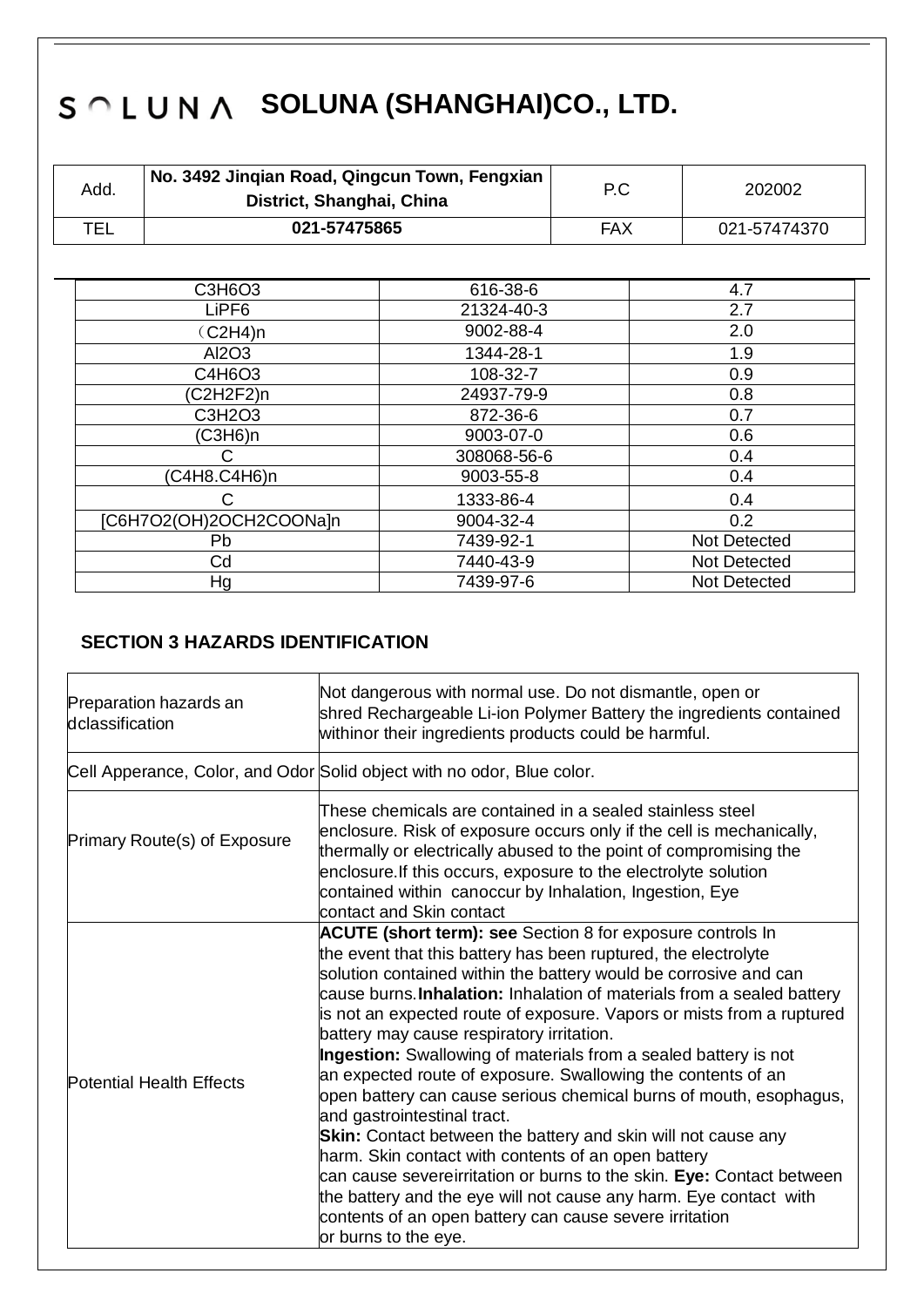| Add. | No. 3492 Jingian Road, Qingcun Town, Fengxian<br>District, Shanghai, China | P.C | 202002       |
|------|----------------------------------------------------------------------------|-----|--------------|
| TEL  | 021-57475865                                                               | FAX | 021-57474370 |

| C3H6O3                  | 616-38-6    | 4.7          |
|-------------------------|-------------|--------------|
| LiPF <sub>6</sub>       | 21324-40-3  | 2.7          |
| (C2H4)n                 | 9002-88-4   | 2.0          |
| Al2O3                   | 1344-28-1   | 1.9          |
| C4H6O3                  | 108-32-7    | 0.9          |
| C2H2F2)n                | 24937-79-9  | 0.8          |
| C3H2O3                  | 872-36-6    | 0.7          |
| (C3H6)n                 | 9003-07-0   | 0.6          |
|                         | 308068-56-6 | 0.4          |
| (C4H8.C4H6)n            | 9003-55-8   | 0.4          |
|                         | 1333-86-4   | 0.4          |
| [C6H7O2(OH)2OCH2COONa]n | 9004-32-4   | 0.2          |
| Pb                      | 7439-92-1   | Not Detected |
| Cd                      | 7440-43-9   | Not Detected |
| Hg                      | 7439-97-6   | Not Detected |

### **SECTION 3 HAZARDS IDENTIFICATION**

| Preparation hazards an<br>dclassification | Not dangerous with normal use. Do not dismantle, open or<br>shred Rechargeable Li-ion Polymer Battery the ingredients contained<br>withinor their ingredients products could be harmful.                                                                                                                                                                                                                                                                                                                                                                                                                                                                                                                                                                                                                                                                                                                                                                                                                        |  |
|-------------------------------------------|-----------------------------------------------------------------------------------------------------------------------------------------------------------------------------------------------------------------------------------------------------------------------------------------------------------------------------------------------------------------------------------------------------------------------------------------------------------------------------------------------------------------------------------------------------------------------------------------------------------------------------------------------------------------------------------------------------------------------------------------------------------------------------------------------------------------------------------------------------------------------------------------------------------------------------------------------------------------------------------------------------------------|--|
|                                           | Cell Apperance, Color, and Odor Solid object with no odor, Blue color.                                                                                                                                                                                                                                                                                                                                                                                                                                                                                                                                                                                                                                                                                                                                                                                                                                                                                                                                          |  |
| Primary Route(s) of Exposure              | These chemicals are contained in a sealed stainless steel<br>enclosure. Risk of exposure occurs only if the cell is mechanically,<br>thermally or electrically abused to the point of compromising the<br>enclosure. If this occurs, exposure to the electrolyte solution<br>contained within canoccur by Inhalation, Ingestion, Eye<br>contact and Skin contact                                                                                                                                                                                                                                                                                                                                                                                                                                                                                                                                                                                                                                                |  |
| <b>Potential Health Effects</b>           | <b>ACUTE (short term): see</b> Section 8 for exposure controls In<br>the event that this battery has been ruptured, the electrolyte<br>solution contained within the battery would be corrosive and can<br>cause burns. Inhalation: Inhalation of materials from a sealed battery<br>is not an expected route of exposure. Vapors or mists from a ruptured<br>battery may cause respiratory irritation.<br>Ingestion: Swallowing of materials from a sealed battery is not<br>an expected route of exposure. Swallowing the contents of an<br>open battery can cause serious chemical burns of mouth, esophagus,<br>and gastrointestinal tract.<br><b>Skin:</b> Contact between the battery and skin will not cause any<br>harm. Skin contact with contents of an open battery<br>can cause severeirritation or burns to the skin. Eye: Contact between<br>the battery and the eye will not cause any harm. Eye contact with<br>contents of an open battery can cause severe irritation<br>or burns to the eye. |  |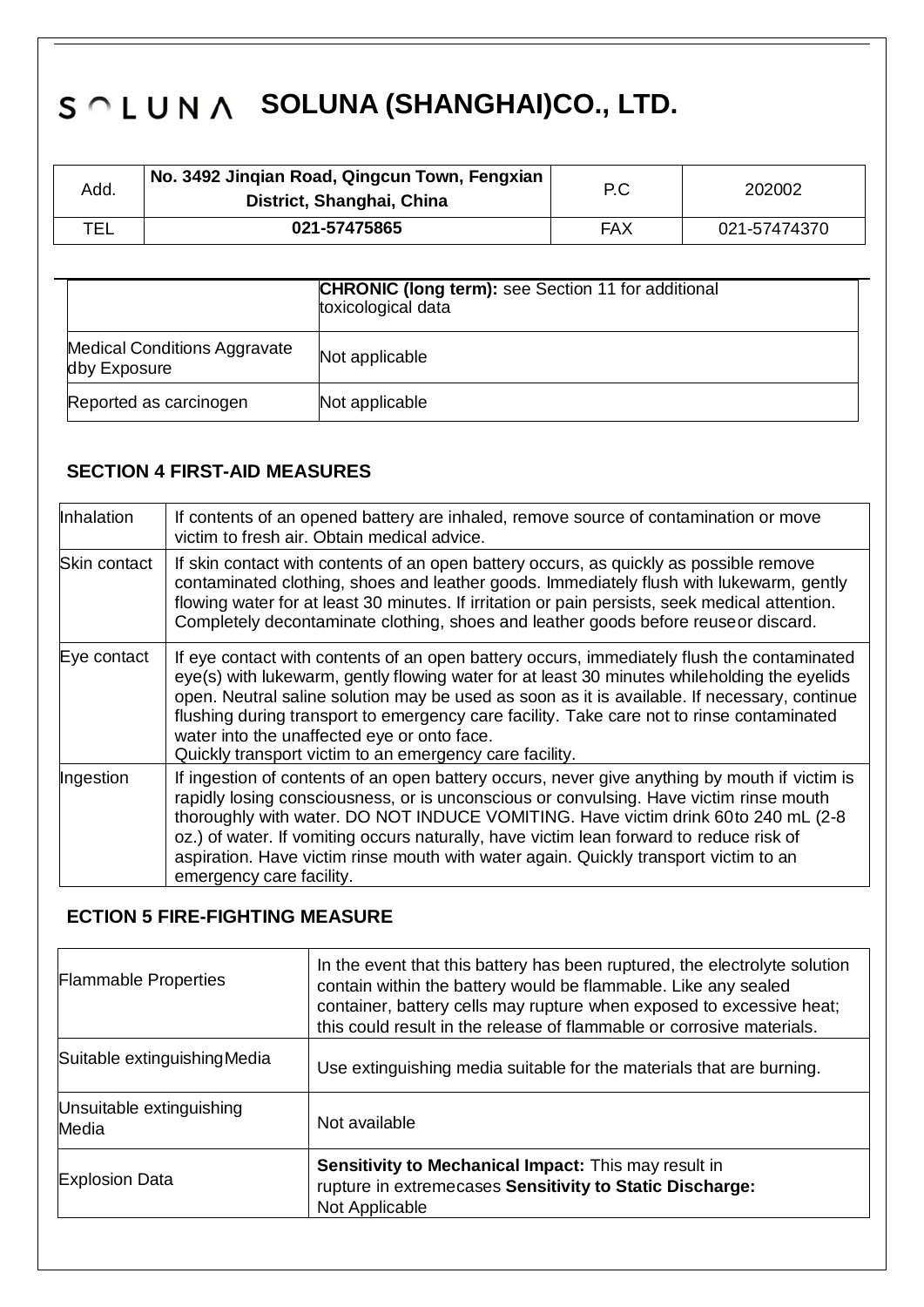| Add. | No. 3492 Jingian Road, Qingcun Town, Fengxian<br>District, Shanghai, China | P.C | 202002       |
|------|----------------------------------------------------------------------------|-----|--------------|
| TEL  | 021-57475865                                                               | FAX | 021-57474370 |

|                                                     | <b>CHRONIC (long term):</b> see Section 11 for additional<br>toxicological data |
|-----------------------------------------------------|---------------------------------------------------------------------------------|
| <b>Medical Conditions Aggravate</b><br>dby Exposure | Not applicable                                                                  |
| Reported as carcinogen                              | Not applicable                                                                  |

## **SECTION 4 FIRST-AID MEASURES**

| Inhalation          | If contents of an opened battery are inhaled, remove source of contamination or move<br>victim to fresh air. Obtain medical advice.                                                                                                                                                                                                                                                                                                                                                              |
|---------------------|--------------------------------------------------------------------------------------------------------------------------------------------------------------------------------------------------------------------------------------------------------------------------------------------------------------------------------------------------------------------------------------------------------------------------------------------------------------------------------------------------|
| <b>Skin contact</b> | If skin contact with contents of an open battery occurs, as quickly as possible remove<br>contaminated clothing, shoes and leather goods. Immediately flush with lukewarm, gently<br>flowing water for at least 30 minutes. If irritation or pain persists, seek medical attention.<br>Completely decontaminate clothing, shoes and leather goods before reuseor discard.                                                                                                                        |
| Eye contact         | If eye contact with contents of an open battery occurs, immediately flush the contaminated<br>eye(s) with lukewarm, gently flowing water for at least 30 minutes whileholding the eyelids<br>open. Neutral saline solution may be used as soon as it is available. If necessary, continue<br>flushing during transport to emergency care facility. Take care not to rinse contaminated<br>water into the unaffected eye or onto face.<br>Quickly transport victim to an emergency care facility. |
| Ingestion           | If ingestion of contents of an open battery occurs, never give anything by mouth if victim is<br>rapidly losing consciousness, or is unconscious or convulsing. Have victim rinse mouth<br>thoroughly with water. DO NOT INDUCE VOMITING. Have victim drink 60to 240 mL (2-8)<br>oz.) of water. If vomiting occurs naturally, have victim lean forward to reduce risk of<br>aspiration. Have victim rinse mouth with water again. Quickly transport victim to an<br>emergency care facility.     |

### **ECTION 5 FIRE-FIGHTING MEASURE**

| <b>Flammable Properties</b>       | In the event that this battery has been ruptured, the electrolyte solution<br>contain within the battery would be flammable. Like any sealed<br>container, battery cells may rupture when exposed to excessive heat;<br>this could result in the release of flammable or corrosive materials. |
|-----------------------------------|-----------------------------------------------------------------------------------------------------------------------------------------------------------------------------------------------------------------------------------------------------------------------------------------------|
| Suitable extinguishing Media      | Use extinguishing media suitable for the materials that are burning.                                                                                                                                                                                                                          |
| Unsuitable extinguishing<br>Media | Not available                                                                                                                                                                                                                                                                                 |
| <b>Explosion Data</b>             | Sensitivity to Mechanical Impact: This may result in<br>rupture in extremecases Sensitivity to Static Discharge:<br>Not Applicable                                                                                                                                                            |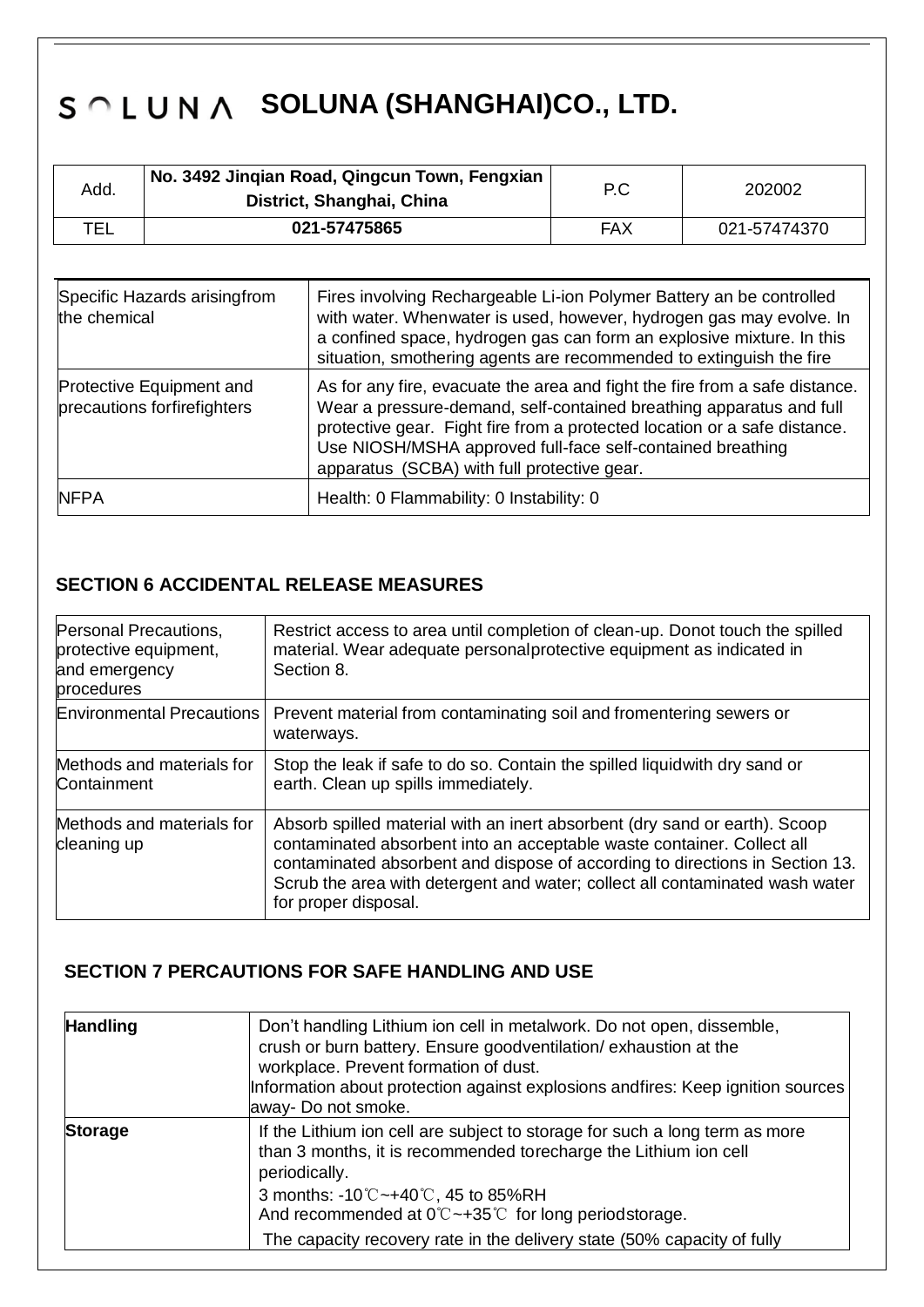| Add. | No. 3492 Jingian Road, Qingcun Town, Fengxian<br>District, Shanghai, China | P.C | 202002       |
|------|----------------------------------------------------------------------------|-----|--------------|
| TEL  | 021-57475865                                                               | FAX | 021-57474370 |

| Specific Hazards arisingfrom<br>the chemical                   | Fires involving Rechargeable Li-ion Polymer Battery an be controlled<br>with water. Whenwater is used, however, hydrogen gas may evolve. In<br>a confined space, hydrogen gas can form an explosive mixture. In this<br>situation, smothering agents are recommended to extinguish the fire                                                  |
|----------------------------------------------------------------|----------------------------------------------------------------------------------------------------------------------------------------------------------------------------------------------------------------------------------------------------------------------------------------------------------------------------------------------|
| <b>Protective Equipment and</b><br>precautions forfirefighters | As for any fire, evacuate the area and fight the fire from a safe distance.<br>Wear a pressure-demand, self-contained breathing apparatus and full<br>protective gear. Fight fire from a protected location or a safe distance.<br>Use NIOSH/MSHA approved full-face self-contained breathing<br>apparatus (SCBA) with full protective gear. |
| <b>NFPA</b>                                                    | Health: 0 Flammability: 0 Instability: 0                                                                                                                                                                                                                                                                                                     |

## **SECTION 6 ACCIDENTAL RELEASE MEASURES**

| Personal Precautions,<br>protective equipment,<br>and emergency<br>procedures | Restrict access to area until completion of clean-up. Donot touch the spilled<br>material. Wear adequate personal protective equipment as indicated in<br>Section 8.                                                                                                                                                                         |
|-------------------------------------------------------------------------------|----------------------------------------------------------------------------------------------------------------------------------------------------------------------------------------------------------------------------------------------------------------------------------------------------------------------------------------------|
| <b>Environmental Precautions</b>                                              | Prevent material from contaminating soil and fromentering sewers or<br>waterways.                                                                                                                                                                                                                                                            |
| Methods and materials for<br>Containment                                      | Stop the leak if safe to do so. Contain the spilled liquidwith dry sand or<br>earth. Clean up spills immediately.                                                                                                                                                                                                                            |
| Methods and materials for<br>cleaning up                                      | Absorb spilled material with an inert absorbent (dry sand or earth). Scoop<br>contaminated absorbent into an acceptable waste container. Collect all<br>contaminated absorbent and dispose of according to directions in Section 13.<br>Scrub the area with detergent and water; collect all contaminated wash water<br>for proper disposal. |

## **SECTION 7 PERCAUTIONS FOR SAFE HANDLING AND USE**

| <b>Handling</b> | Don't handling Lithium ion cell in metalwork. Do not open, dissemble,<br>crush or burn battery. Ensure goodventilation/exhaustion at the<br>workplace. Prevent formation of dust.<br>Information about protection against explosions andfires: Keep ignition sources<br>away- Do not smoke. |
|-----------------|---------------------------------------------------------------------------------------------------------------------------------------------------------------------------------------------------------------------------------------------------------------------------------------------|
| <b>Storage</b>  | If the Lithium ion cell are subject to storage for such a long term as more<br>than 3 months, it is recommended torecharge the Lithium ion cell<br>periodically.                                                                                                                            |
|                 | 3 months: $-10^{\circ}$ C $-+40^{\circ}$ C, 45 to 85%RH<br>And recommended at $0^{\circ}$ $\sim$ +35 $^{\circ}$ for long periodstorage.                                                                                                                                                     |
|                 | The capacity recovery rate in the delivery state (50% capacity of fully                                                                                                                                                                                                                     |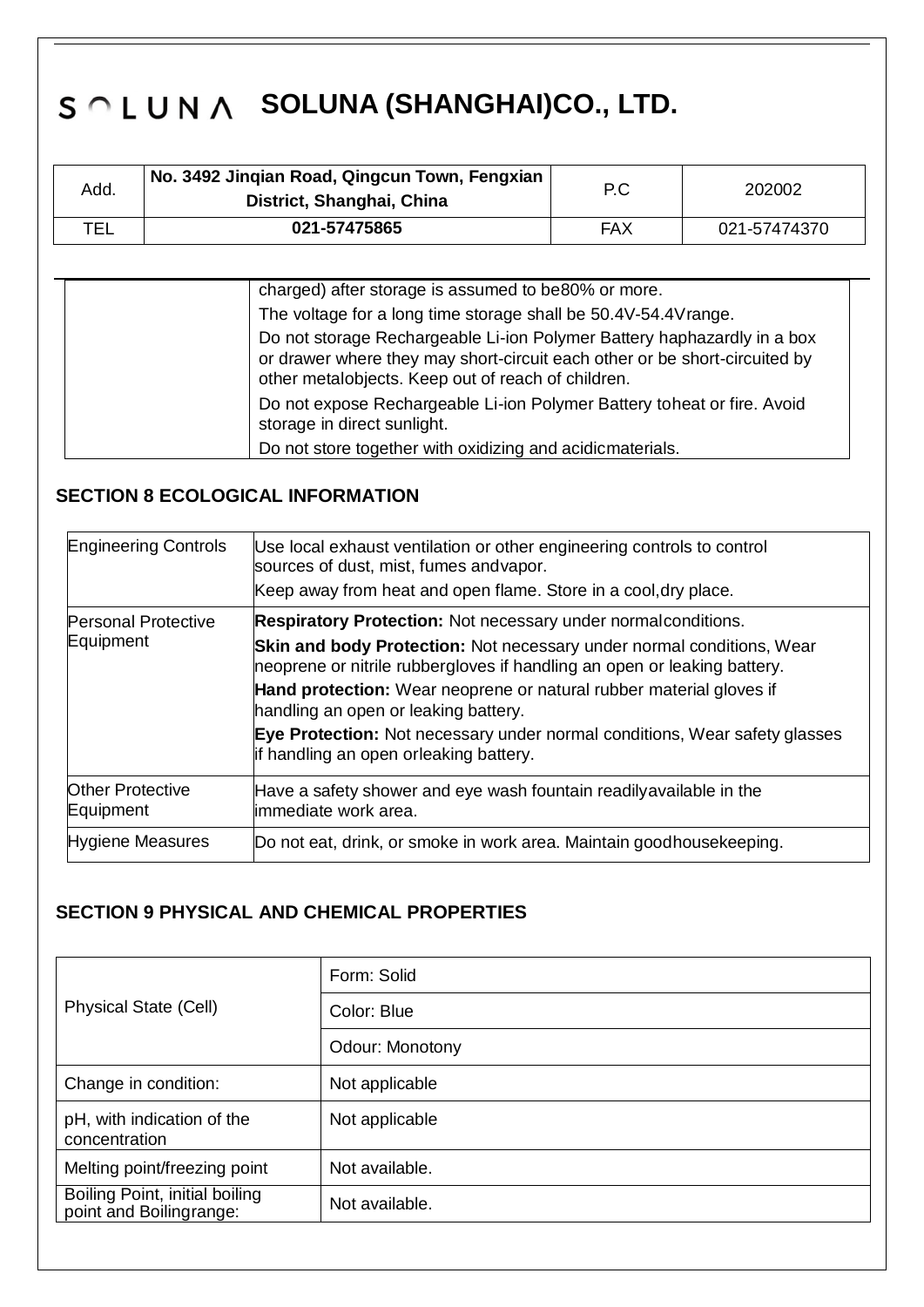| Add. | No. 3492 Jingian Road, Qingcun Town, Fengxian<br>District, Shanghai, China | P.C | 202002       |
|------|----------------------------------------------------------------------------|-----|--------------|
| TEL  | 021-57475865                                                               | FAX | 021-57474370 |

| charged) after storage is assumed to be80% or more.                                                                                                                                                         |
|-------------------------------------------------------------------------------------------------------------------------------------------------------------------------------------------------------------|
| The voltage for a long time storage shall be 50.4V-54.4V range.                                                                                                                                             |
| Do not storage Rechargeable Li-ion Polymer Battery haphazardly in a box<br>or drawer where they may short-circuit each other or be short-circuited by<br>other metalobjects. Keep out of reach of children. |
| Do not expose Rechargeable Li-ion Polymer Battery toheat or fire. Avoid<br>storage in direct sunlight.                                                                                                      |
| Do not store together with oxidizing and acidicmaterials.                                                                                                                                                   |

## **SECTION 8 ECOLOGICAL INFORMATION**

| <b>Engineering Controls</b>          | Use local exhaust ventilation or other engineering controls to control<br>sources of dust, mist, fumes andvapor.                                         |  |
|--------------------------------------|----------------------------------------------------------------------------------------------------------------------------------------------------------|--|
|                                      | Keep away from heat and open flame. Store in a cool, dry place.                                                                                          |  |
| <b>Personal Protective</b>           | <b>Respiratory Protection:</b> Not necessary under normal conditions.                                                                                    |  |
| Equipment                            | <b>Skin and body Protection:</b> Not necessary under normal conditions, Wear<br>neoprene or nitrile rubbergloves if handling an open or leaking battery. |  |
|                                      | Hand protection: Wear neoprene or natural rubber material gloves if<br>handling an open or leaking battery.                                              |  |
|                                      | <b>Eye Protection:</b> Not necessary under normal conditions, Wear safety glasses<br>if handling an open orleaking battery.                              |  |
| <b>Other Protective</b><br>Equipment | Have a safety shower and eye wash fountain readilyavailable in the<br>limmediate work area.                                                              |  |
| <b>Hygiene Measures</b>              | Do not eat, drink, or smoke in work area. Maintain goodhousekeeping.                                                                                     |  |

## **SECTION 9 PHYSICAL AND CHEMICAL PROPERTIES**

| <b>Physical State (Cell)</b>                              | Form: Solid            |
|-----------------------------------------------------------|------------------------|
|                                                           | Color: Blue            |
|                                                           | <b>Odour: Monotony</b> |
| Change in condition:                                      | Not applicable         |
| pH, with indication of the<br>concentration               | Not applicable         |
| Melting point/freezing point                              | Not available.         |
| Boiling Point, initial boiling<br>point and Boilingrange: | Not available.         |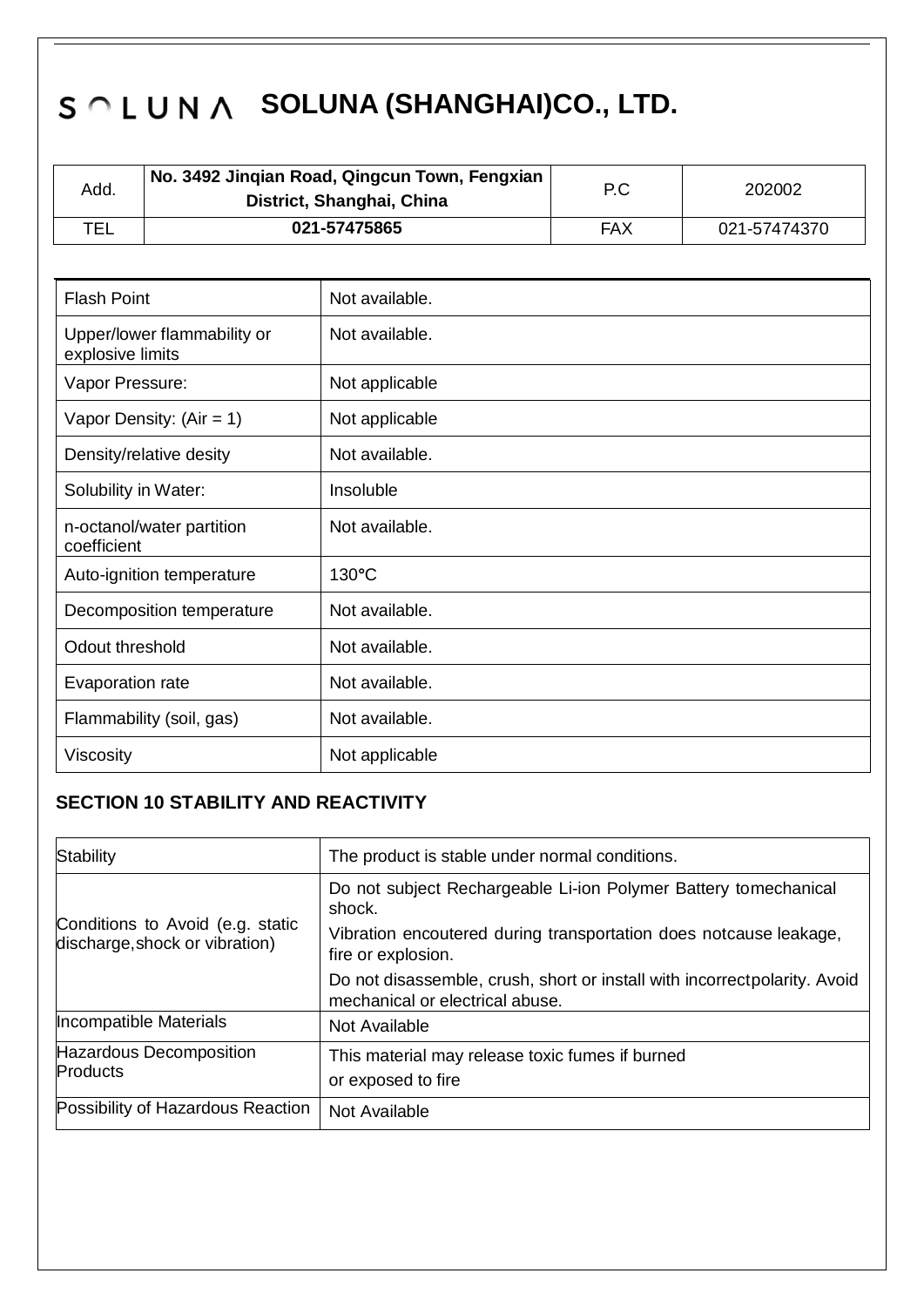| Add. | No. 3492 Jinqian Road, Qingcun Town, Fengxian<br>District, Shanghai, China | P.C | 202002       |
|------|----------------------------------------------------------------------------|-----|--------------|
| TEL  | 021-57475865                                                               | FAX | 021-57474370 |

| <b>Flash Point</b>                              | Not available.   |
|-------------------------------------------------|------------------|
| Upper/lower flammability or<br>explosive limits | Not available.   |
| Vapor Pressure:                                 | Not applicable   |
| Vapor Density: $(Air = 1)$                      | Not applicable   |
| Density/relative desity                         | Not available.   |
| Solubility in Water:                            | <b>Insoluble</b> |
| n-octanol/water partition<br>coefficient        | Not available.   |
| Auto-ignition temperature                       | $130^{\circ}$ C  |
| Decomposition temperature                       | Not available.   |
| Odout threshold                                 | Not available.   |
| Evaporation rate                                | Not available.   |
| Flammability (soil, gas)                        | Not available.   |
| <b>Viscosity</b>                                | Not applicable   |

## **SECTION 10 STABILITY AND REACTIVITY**

| <b>Stability</b>                                                   | The product is stable under normal conditions.                                                                |  |
|--------------------------------------------------------------------|---------------------------------------------------------------------------------------------------------------|--|
| Conditions to Avoid (e.g. static<br>discharge, shock or vibration) | Do not subject Rechargeable Li-ion Polymer Battery tomechanical<br>shock.                                     |  |
|                                                                    | Vibration encoutered during transportation does notcause leakage,<br>fire or explosion.                       |  |
|                                                                    | Do not disassemble, crush, short or install with incorrect polarity. Avoid<br>mechanical or electrical abuse. |  |
| Incompatible Materials                                             | Not Available                                                                                                 |  |
| Hazardous Decomposition<br><b>Products</b>                         | This material may release toxic fumes if burned<br>or exposed to fire                                         |  |
| Possibility of Hazardous Reaction                                  | Not Available                                                                                                 |  |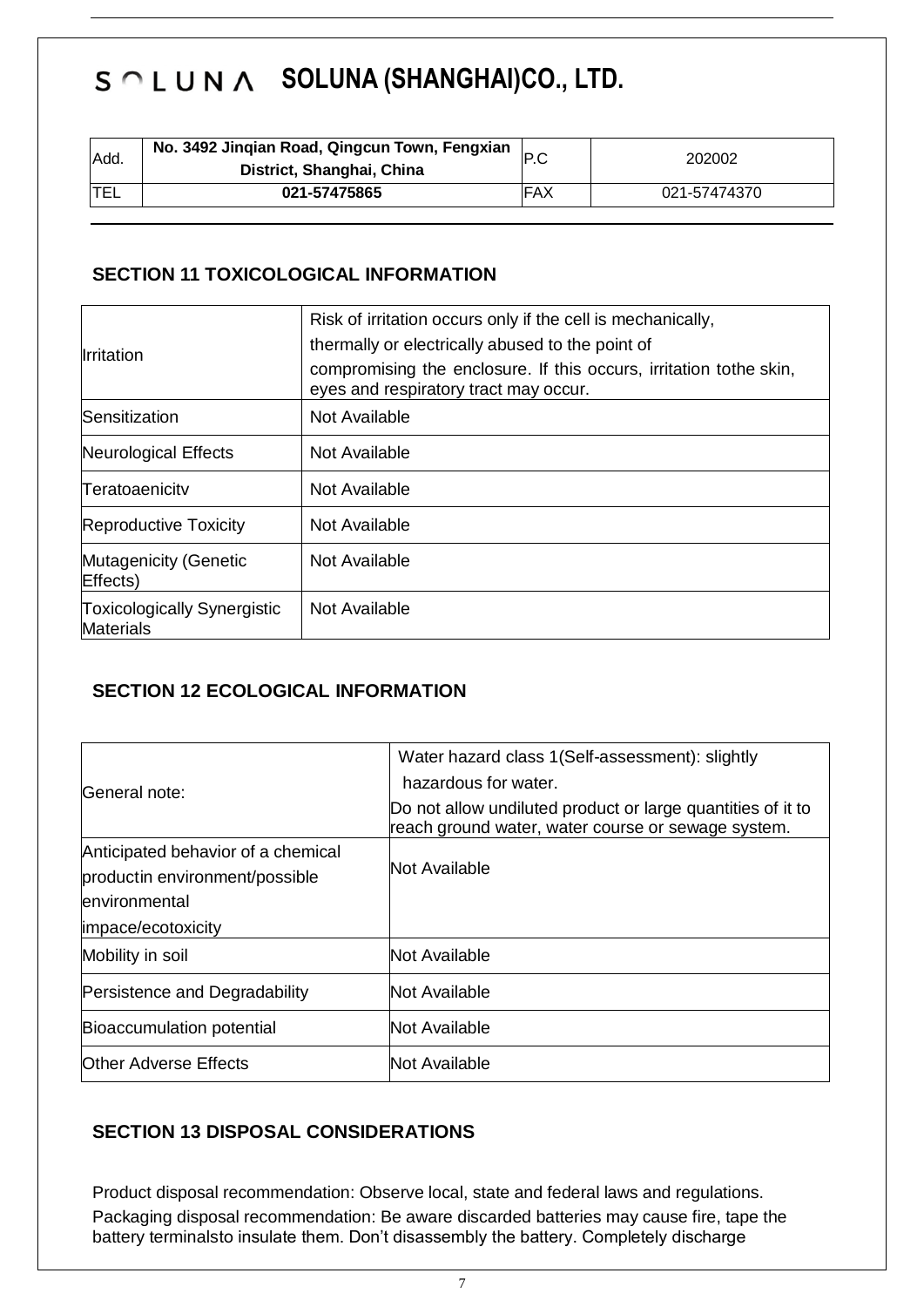| Add.       | No. 3492 Jinqian Road, Qingcun Town, Fengxian<br>District, Shanghai, China |            | 202002       |
|------------|----------------------------------------------------------------------------|------------|--------------|
| <b>TEL</b> | 021-57475865                                                               | <b>FAX</b> | 021-57474370 |

## **SECTION 11 TOXICOLOGICAL INFORMATION**

| Irritation                                             | Risk of irritation occurs only if the cell is mechanically,<br>thermally or electrically abused to the point of<br>compromising the enclosure. If this occurs, irritation to the skin,<br>eyes and respiratory tract may occur. |
|--------------------------------------------------------|---------------------------------------------------------------------------------------------------------------------------------------------------------------------------------------------------------------------------------|
| Sensitization                                          | Not Available                                                                                                                                                                                                                   |
| Neurological Effects                                   | Not Available                                                                                                                                                                                                                   |
| Teratoaenicity                                         | Not Available                                                                                                                                                                                                                   |
| <b>Reproductive Toxicity</b>                           | Not Available                                                                                                                                                                                                                   |
| <b>Mutagenicity (Genetic</b><br>Effects)               | Not Available                                                                                                                                                                                                                   |
| <b>Toxicologically Synergistic</b><br><b>Materials</b> | Not Available                                                                                                                                                                                                                   |

## **SECTION 12 ECOLOGICAL INFORMATION**

| General note:                                                                                               | Water hazard class 1(Self-assessment): slightly<br>hazardous for water.<br>Do not allow undiluted product or large quantities of it to<br>reach ground water, water course or sewage system. |
|-------------------------------------------------------------------------------------------------------------|----------------------------------------------------------------------------------------------------------------------------------------------------------------------------------------------|
| Anticipated behavior of a chemical<br>productin environment/possible<br>environmental<br>impace/ecotoxicity | Not Available                                                                                                                                                                                |
| Mobility in soil                                                                                            | Not Available                                                                                                                                                                                |
| Persistence and Degradability                                                                               | Not Available                                                                                                                                                                                |
| Bioaccumulation potential                                                                                   | Not Available                                                                                                                                                                                |
| <b>Other Adverse Effects</b>                                                                                | <b>Not Available</b>                                                                                                                                                                         |

## **SECTION 13 DISPOSAL CONSIDERATIONS**

Product disposal recommendation: Observe local, state and federal laws and regulations. Packaging disposal recommendation: Be aware discarded batteries may cause fire, tape the battery terminalsto insulate them. Don't disassembly the battery. Completely discharge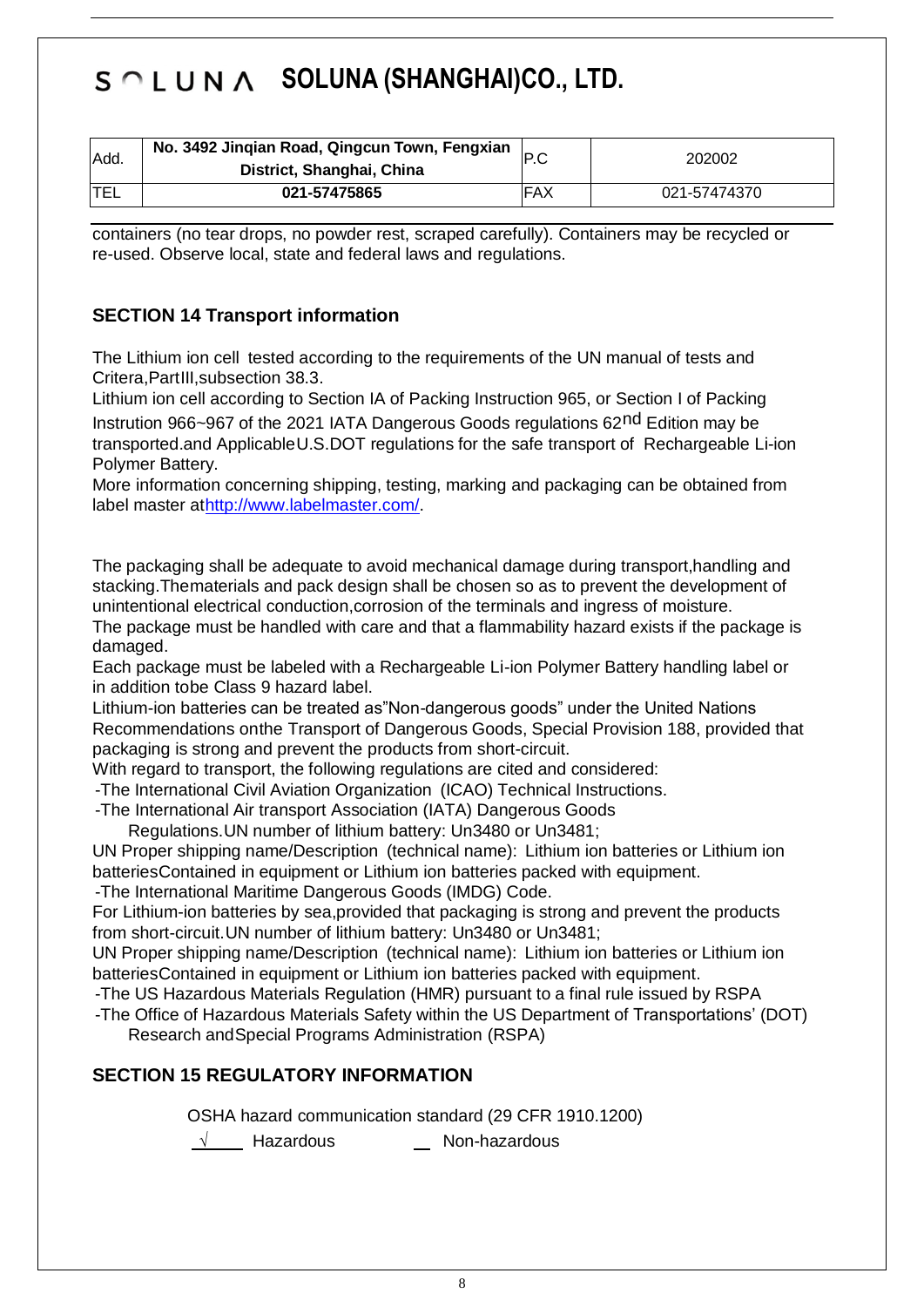| Add. | No. 3492 Jinqian Road, Qingcun Town, Fengxian<br>District, Shanghai, China | P.C        | 202002       |
|------|----------------------------------------------------------------------------|------------|--------------|
| 'TEL | 021-57475865                                                               | <b>FAX</b> | 021-57474370 |

containers (no tear drops, no powder rest, scraped carefully). Containers may be recycled or re-used. Observe local, state and federal laws and regulations.

## **SECTION 14 Transport information**

The Lithium ion cell tested according to the requirements of the UN manual of tests and Critera,PartIII,subsection 38.3.

Lithium ion cell according to Section IA of Packing Instruction 965, or Section I of Packing

Instrution 966~967 of the 2021 IATA Dangerous Goods regulations 62nd Edition may be transported.and ApplicableU.S.DOT regulations for the safe transport of Rechargeable Li-ion Polymer Battery.

More information concerning shipping, testing, marking and packaging can be obtained from label master a[thttp://www.labelmaster.com/.](http://www.labelmaster.com/)

The packaging shall be adequate to avoid mechanical damage during transport,handling and stacking.Thematerials and pack design shall be chosen so as to prevent the development of unintentional electrical conduction,corrosion of the terminals and ingress of moisture.

The package must be handled with care and that a flammability hazard exists if the package is damaged.

Each package must be labeled with a Rechargeable Li-ion Polymer Battery handling label or in addition tobe Class 9 hazard label.

Lithium-ion batteries can be treated as"Non-dangerous goods" under the United Nations Recommendations onthe Transport of Dangerous Goods, Special Provision 188, provided that packaging is strong and prevent the products from short-circuit.

With regard to transport, the following regulations are cited and considered:

-The International Civil Aviation Organization (ICAO) Technical Instructions.

-The International Air transport Association (IATA) Dangerous Goods

Regulations.UN number of lithium battery: Un3480 or Un3481;

UN Proper shipping name/Description (technical name): Lithium ion batteries or Lithium ion batteriesContained in equipment or Lithium ion batteries packed with equipment.

-The International Maritime Dangerous Goods (IMDG) Code.

For Lithium-ion batteries by sea,provided that packaging is strong and prevent the products from short-circuit.UN number of lithium battery: Un3480 or Un3481;

UN Proper shipping name/Description (technical name): Lithium ion batteries or Lithium ion batteriesContained in equipment or Lithium ion batteries packed with equipment.

-The US Hazardous Materials Regulation (HMR) pursuant to a final rule issued by RSPA

-The Office of Hazardous Materials Safety within the US Department of Transportations' (DOT) Research andSpecial Programs Administration (RSPA)

### **SECTION 15 REGULATORY INFORMATION**

OSHA hazard communication standard (29 CFR 1910.1200)

√ Hazardous Non-hazardous